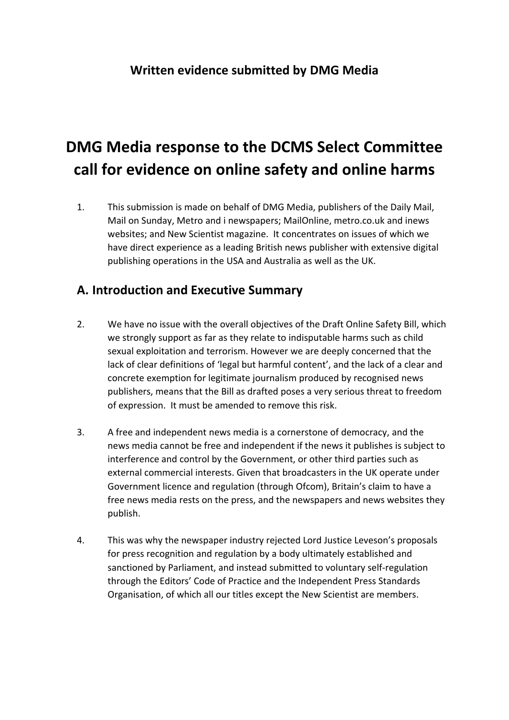# **DMG Media response to the DCMS Select Committee call for evidence on online safety and online harms**

1. This submission is made on behalf of DMG Media, publishers of the Daily Mail, Mail on Sunday, Metro and i newspapers; MailOnline, metro.co.uk and inews websites; and New Scientist magazine. It concentrates on issues of which we have direct experience as a leading British news publisher with extensive digital publishing operations in the USA and Australia as well as the UK.

#### **A. Introduction and Executive Summary**

- 2. We have no issue with the overall objectives of the Draft Online Safety Bill, which we strongly support as far as they relate to indisputable harms such as child sexual exploitation and terrorism. However we are deeply concerned that the lack of clear definitions of 'legal but harmful content', and the lack of a clear and concrete exemption for legitimate journalism produced by recognised news publishers, means that the Bill as drafted poses a very serious threat to freedom of expression. It must be amended to remove this risk.
- 3. A free and independent news media is a cornerstone of democracy, and the news media cannot be free and independent if the news it publishes is subject to interference and control by the Government, or other third parties such as external commercial interests. Given that broadcasters in the UK operate under Government licence and regulation (through Ofcom), Britain's claim to have a free news media rests on the press, and the newspapers and news websites they publish.
- 4. This was why the newspaper industry rejected Lord Justice Leveson's proposals for press recognition and regulation by a body ultimately established and sanctioned by Parliament, and instead submitted to voluntary self-regulation through the Editors' Code of Practice and the Independent Press Standards Organisation, of which all our titles except the New Scientist are members.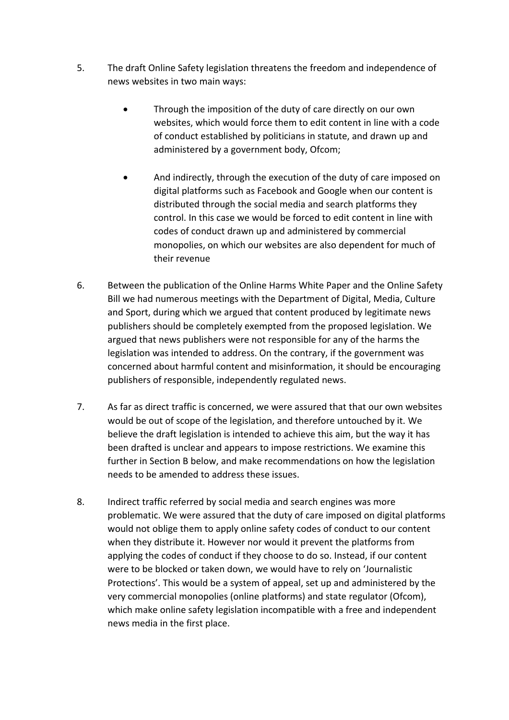- 5. The draft Online Safety legislation threatens the freedom and independence of news websites in two main ways:
	- Through the imposition of the duty of care directly on our own websites, which would force them to edit content in line with a code of conduct established by politicians in statute, and drawn up and administered by a government body, Ofcom;
	- And indirectly, through the execution of the duty of care imposed on digital platforms such as Facebook and Google when our content is distributed through the social media and search platforms they control. In this case we would be forced to edit content in line with codes of conduct drawn up and administered by commercial monopolies, on which our websites are also dependent for much of their revenue
- 6. Between the publication of the Online Harms White Paper and the Online Safety Bill we had numerous meetings with the Department of Digital, Media, Culture and Sport, during which we argued that content produced by legitimate news publishers should be completely exempted from the proposed legislation. We argued that news publishers were not responsible for any of the harms the legislation was intended to address. On the contrary, if the government was concerned about harmful content and misinformation, it should be encouraging publishers of responsible, independently regulated news.
- 7. As far as direct traffic is concerned, we were assured that that our own websites would be out of scope of the legislation, and therefore untouched by it. We believe the draft legislation is intended to achieve this aim, but the way it has been drafted is unclear and appears to impose restrictions. We examine this further in Section B below, and make recommendations on how the legislation needs to be amended to address these issues.
- 8. Indirect traffic referred by social media and search engines was more problematic. We were assured that the duty of care imposed on digital platforms would not oblige them to apply online safety codes of conduct to our content when they distribute it. However nor would it prevent the platforms from applying the codes of conduct if they choose to do so. Instead, if our content were to be blocked or taken down, we would have to rely on 'Journalistic Protections'. This would be a system of appeal, set up and administered by the very commercial monopolies (online platforms) and state regulator (Ofcom), which make online safety legislation incompatible with a free and independent news media in the first place.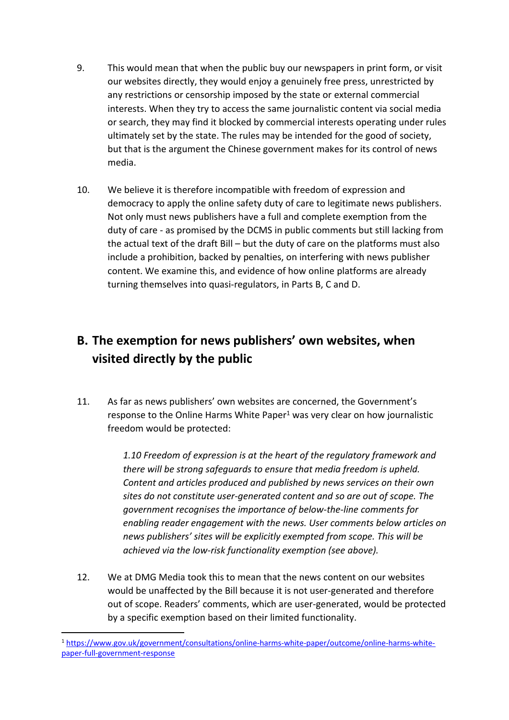- 9. This would mean that when the public buy our newspapers in print form, or visit our websites directly, they would enjoy a genuinely free press, unrestricted by any restrictions or censorship imposed by the state or external commercial interests. When they try to access the same journalistic content via social media or search, they may find it blocked by commercial interests operating under rules ultimately set by the state. The rules may be intended for the good of society, but that is the argument the Chinese government makes for its control of news media.
- 10. We believe it is therefore incompatible with freedom of expression and democracy to apply the online safety duty of care to legitimate news publishers. Not only must news publishers have a full and complete exemption from the duty of care - as promised by the DCMS in public comments but still lacking from the actual text of the draft Bill – but the duty of care on the platforms must also include a prohibition, backed by penalties, on interfering with news publisher content. We examine this, and evidence of how online platforms are already turning themselves into quasi-regulators, in Parts B, C and D.

### **B. The exemption for news publishers' own websites, when visited directly by the public**

11. As far as news publishers' own websites are concerned, the Government's response to the Online Harms White Paper $1$  was very clear on how journalistic freedom would be protected:

> *1.10 Freedom of expression is at the heart of the regulatory framework and there will be strong safeguards to ensure that media freedom is upheld. Content and articles produced and published by news services on their own sites do not constitute user-generated content and so are out of scope. The government recognises the importance of below-the-line comments for enabling reader engagement with the news. User comments below articles on news publishers' sites will be explicitly exempted from scope. This will be achieved via the low-risk functionality exemption (see above).*

12. We at DMG Media took this to mean that the news content on our websites would be unaffected by the Bill because it is not user-generated and therefore out of scope. Readers' comments, which are user-generated, would be protected by a specific exemption based on their limited functionality.

<sup>1</sup> [https://www.gov.uk/government/consultations/online-harms-white-paper/outcome/online-harms-white](https://www.gov.uk/government/consultations/online-harms-white-paper/outcome/online-harms-white-paper-full-government-response)[paper-full-government-response](https://www.gov.uk/government/consultations/online-harms-white-paper/outcome/online-harms-white-paper-full-government-response)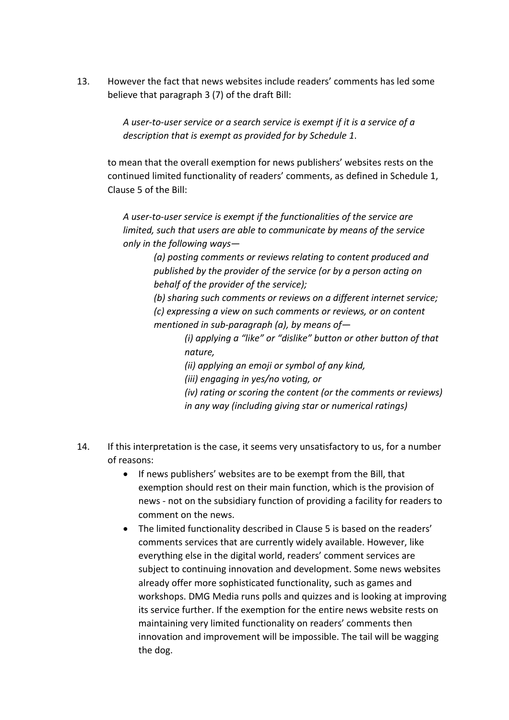13. However the fact that news websites include readers' comments has led some believe that paragraph 3 (7) of the draft Bill:

> *A user-to-user service or a search service is exempt if it is a service of a description that is exempt as provided for by Schedule 1*.

to mean that the overall exemption for news publishers' websites rests on the continued limited functionality of readers' comments, as defined in Schedule 1, Clause 5 of the Bill:

*A user-to-user service is exempt if the functionalities of the service are limited, such that users are able to communicate by means of the service only in the following ways—*

> *(a) posting comments or reviews relating to content produced and published by the provider of the service (or by a person acting on behalf of the provider of the service);*

*(b) sharing such comments or reviews on a different internet service; (c) expressing a view on such comments or reviews, or on content mentioned in sub-paragraph (a), by means of—*

> *(i) applying a "like" or "dislike" button or other button of that nature,*

*(ii) applying an emoji or symbol of any kind,*

*(iii) engaging in yes/no voting, or*

*(iv) rating or scoring the content (or the comments or reviews) in any way (including giving star or numerical ratings)*

- 14. If this interpretation is the case, it seems very unsatisfactory to us, for a number of reasons:
	- If news publishers' websites are to be exempt from the Bill, that exemption should rest on their main function, which is the provision of news - not on the subsidiary function of providing a facility for readers to comment on the news.
	- The limited functionality described in Clause 5 is based on the readers' comments services that are currently widely available. However, like everything else in the digital world, readers' comment services are subject to continuing innovation and development. Some news websites already offer more sophisticated functionality, such as games and workshops. DMG Media runs polls and quizzes and is looking at improving its service further. If the exemption for the entire news website rests on maintaining very limited functionality on readers' comments then innovation and improvement will be impossible. The tail will be wagging the dog.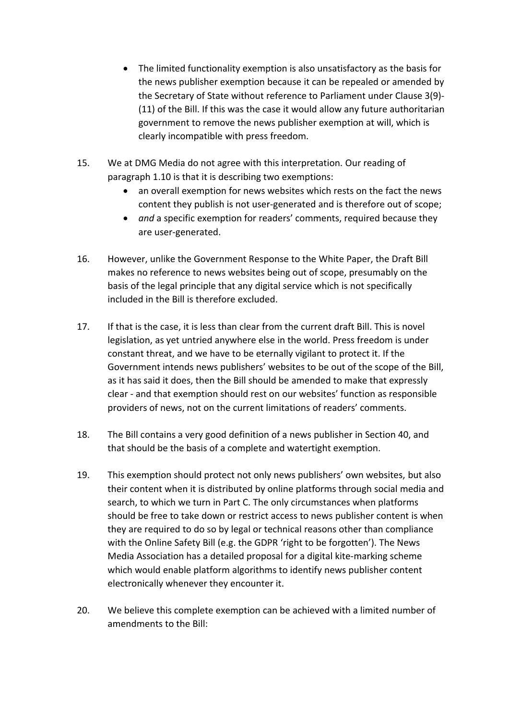- The limited functionality exemption is also unsatisfactory as the basis for the news publisher exemption because it can be repealed or amended by the Secretary of State without reference to Parliament under Clause 3(9)- (11) of the Bill. If this was the case it would allow any future authoritarian government to remove the news publisher exemption at will, which is clearly incompatible with press freedom.
- 15. We at DMG Media do not agree with this interpretation. Our reading of paragraph 1.10 is that it is describing two exemptions:
	- an overall exemption for news websites which rests on the fact the news content they publish is not user-generated and is therefore out of scope;
	- *and* a specific exemption for readers' comments, required because they are user-generated.
- 16. However, unlike the Government Response to the White Paper, the Draft Bill makes no reference to news websites being out of scope, presumably on the basis of the legal principle that any digital service which is not specifically included in the Bill is therefore excluded.
- 17. If that is the case, it is less than clear from the current draft Bill. This is novel legislation, as yet untried anywhere else in the world. Press freedom is under constant threat, and we have to be eternally vigilant to protect it. If the Government intends news publishers' websites to be out of the scope of the Bill, as it has said it does, then the Bill should be amended to make that expressly clear - and that exemption should rest on our websites' function as responsible providers of news, not on the current limitations of readers' comments.
- 18. The Bill contains a very good definition of a news publisher in Section 40, and that should be the basis of a complete and watertight exemption.
- 19. This exemption should protect not only news publishers' own websites, but also their content when it is distributed by online platforms through social media and search, to which we turn in Part C. The only circumstances when platforms should be free to take down or restrict access to news publisher content is when they are required to do so by legal or technical reasons other than compliance with the Online Safety Bill (e.g. the GDPR 'right to be forgotten'). The News Media Association has a detailed proposal for a digital kite-marking scheme which would enable platform algorithms to identify news publisher content electronically whenever they encounter it.
- 20. We believe this complete exemption can be achieved with a limited number of amendments to the Bill: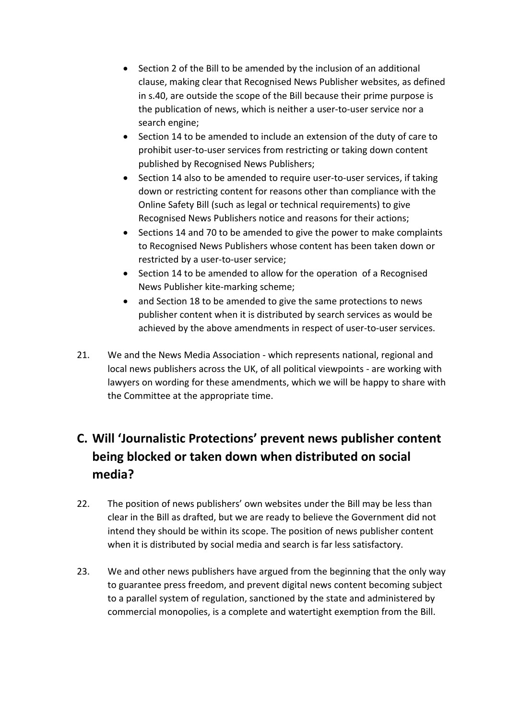- Section 2 of the Bill to be amended by the inclusion of an additional clause, making clear that Recognised News Publisher websites, as defined in s.40, are outside the scope of the Bill because their prime purpose is the publication of news, which is neither a user-to-user service nor a search engine;
- Section 14 to be amended to include an extension of the duty of care to prohibit user-to-user services from restricting or taking down content published by Recognised News Publishers;
- Section 14 also to be amended to require user-to-user services, if taking down or restricting content for reasons other than compliance with the Online Safety Bill (such as legal or technical requirements) to give Recognised News Publishers notice and reasons for their actions;
- Sections 14 and 70 to be amended to give the power to make complaints to Recognised News Publishers whose content has been taken down or restricted by a user-to-user service;
- Section 14 to be amended to allow for the operation of a Recognised News Publisher kite-marking scheme;
- and Section 18 to be amended to give the same protections to news publisher content when it is distributed by search services as would be achieved by the above amendments in respect of user-to-user services.
- 21. We and the News Media Association which represents national, regional and local news publishers across the UK, of all political viewpoints - are working with lawyers on wording for these amendments, which we will be happy to share with the Committee at the appropriate time.

## **C. Will 'Journalistic Protections' prevent news publisher content being blocked or taken down when distributed on social media?**

- 22. The position of news publishers' own websites under the Bill may be less than clear in the Bill as drafted, but we are ready to believe the Government did not intend they should be within its scope. The position of news publisher content when it is distributed by social media and search is far less satisfactory.
- 23. We and other news publishers have argued from the beginning that the only way to guarantee press freedom, and prevent digital news content becoming subject to a parallel system of regulation, sanctioned by the state and administered by commercial monopolies, is a complete and watertight exemption from the Bill.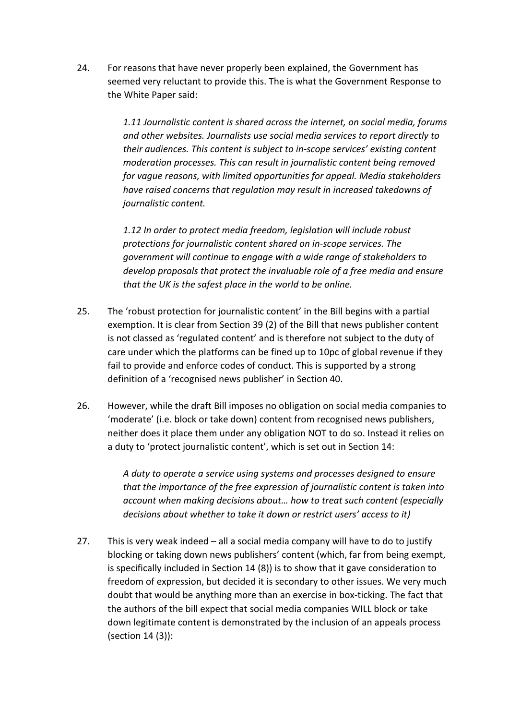24. For reasons that have never properly been explained, the Government has seemed very reluctant to provide this. The is what the Government Response to the White Paper said:

> *1.11 Journalistic content is shared across the internet, on social media, forums and other websites. Journalists use social media services to report directly to their audiences. This content is subject to in-scope services' existing content moderation processes. This can result in journalistic content being removed for vague reasons, with limited opportunities for appeal. Media stakeholders have raised concerns that regulation may result in increased takedowns of journalistic content.*

*1.12 In order to protect media freedom, legislation will include robust protections for journalistic content shared on in-scope services. The government will continue to engage with a wide range of stakeholders to develop proposals that protect the invaluable role of a free media and ensure that the UK is the safest place in the world to be online.*

- 25. The 'robust protection for journalistic content' in the Bill begins with a partial exemption. It is clear from Section 39 (2) of the Bill that news publisher content is not classed as 'regulated content' and is therefore not subject to the duty of care under which the platforms can be fined up to 10pc of global revenue if they fail to provide and enforce codes of conduct. This is supported by a strong definition of a 'recognised news publisher' in Section 40.
- 26. However, while the draft Bill imposes no obligation on social media companies to 'moderate' (i.e. block or take down) content from recognised news publishers, neither does it place them under any obligation NOT to do so. Instead it relies on a duty to 'protect journalistic content', which is set out in Section 14:

*A duty to operate a service using systems and processes designed to ensure that the importance of the free expression of journalistic content is taken into account when making decisions about… how to treat such content (especially decisions about whether to take it down or restrict users' access to it)*

27. This is very weak indeed – all a social media company will have to do to justify blocking or taking down news publishers' content (which, far from being exempt, is specifically included in Section 14 (8)) is to show that it gave consideration to freedom of expression, but decided it is secondary to other issues. We very much doubt that would be anything more than an exercise in box-ticking. The fact that the authors of the bill expect that social media companies WILL block or take down legitimate content is demonstrated by the inclusion of an appeals process (section 14 (3)):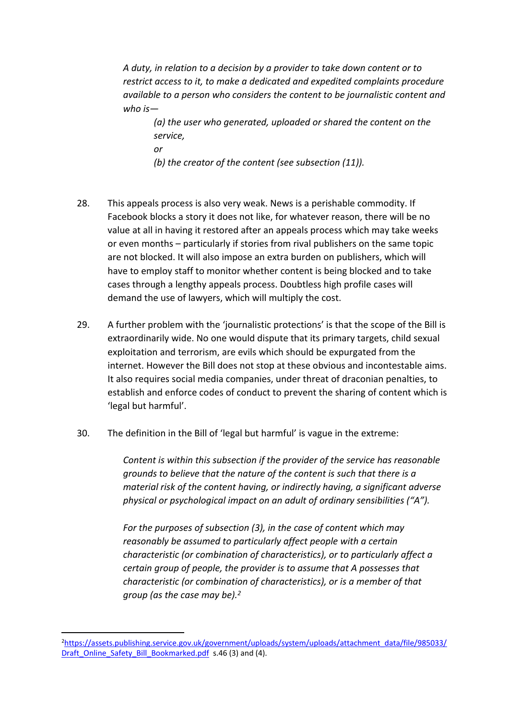*A duty, in relation to a decision by a provider to take down content or to restrict access to it, to make a dedicated and expedited complaints procedure available to a person who considers the content to be journalistic content and who is—*

*(a) the user who generated, uploaded or shared the content on the service, or*

*(b) the creator of the content (see subsection (11)).*

- 28. This appeals process is also very weak. News is a perishable commodity. If Facebook blocks a story it does not like, for whatever reason, there will be no value at all in having it restored after an appeals process which may take weeks or even months – particularly if stories from rival publishers on the same topic are not blocked. It will also impose an extra burden on publishers, which will have to employ staff to monitor whether content is being blocked and to take cases through a lengthy appeals process. Doubtless high profile cases will demand the use of lawyers, which will multiply the cost.
- 29. A further problem with the 'journalistic protections' is that the scope of the Bill is extraordinarily wide. No one would dispute that its primary targets, child sexual exploitation and terrorism, are evils which should be expurgated from the internet. However the Bill does not stop at these obvious and incontestable aims. It also requires social media companies, under threat of draconian penalties, to establish and enforce codes of conduct to prevent the sharing of content which is 'legal but harmful'.
- 30. The definition in the Bill of 'legal but harmful' is vague in the extreme:

*Content is within this subsection if the provider of the service has reasonable grounds to believe that the nature of the content is such that there is a material risk of the content having, or indirectly having, a significant adverse physical or psychological impact on an adult of ordinary sensibilities ("A").*

*For the purposes of subsection (3), in the case of content which may reasonably be assumed to particularly affect people with a certain characteristic (or combination of characteristics), or to particularly affect a certain group of people, the provider is to assume that A possesses that characteristic (or combination of characteristics), or is a member of that group (as the case may be).<sup>2</sup>*

<sup>2</sup>[https://assets.publishing.service.gov.uk/government/uploads/system/uploads/attachment\\_data/file/985033/](https://assets.publishing.service.gov.uk/government/uploads/system/uploads/attachment_data/file/985033/Draft_Online_Safety_Bill_Bookmarked.pdf) [Draft\\_Online\\_Safety\\_Bill\\_Bookmarked.pdf](https://assets.publishing.service.gov.uk/government/uploads/system/uploads/attachment_data/file/985033/Draft_Online_Safety_Bill_Bookmarked.pdf) s.46 (3) and (4).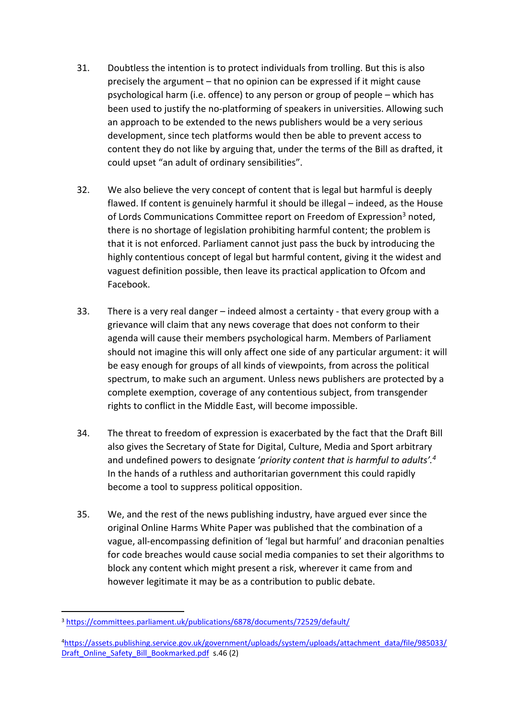- 31. Doubtless the intention is to protect individuals from trolling. But this is also precisely the argument – that no opinion can be expressed if it might cause psychological harm (i.e. offence) to any person or group of people – which has been used to justify the no-platforming of speakers in universities. Allowing such an approach to be extended to the news publishers would be a very serious development, since tech platforms would then be able to prevent access to content they do not like by arguing that, under the terms of the Bill as drafted, it could upset "an adult of ordinary sensibilities".
- 32. We also believe the very concept of content that is legal but harmful is deeply flawed. If content is genuinely harmful it should be illegal – indeed, as the House of Lords Communications Committee report on Freedom of Expression<sup>3</sup> noted, there is no shortage of legislation prohibiting harmful content; the problem is that it is not enforced. Parliament cannot just pass the buck by introducing the highly contentious concept of legal but harmful content, giving it the widest and vaguest definition possible, then leave its practical application to Ofcom and Facebook.
- 33. There is a very real danger indeed almost a certainty that every group with a grievance will claim that any news coverage that does not conform to their agenda will cause their members psychological harm. Members of Parliament should not imagine this will only affect one side of any particular argument: it will be easy enough for groups of all kinds of viewpoints, from across the political spectrum, to make such an argument. Unless news publishers are protected by a complete exemption, coverage of any contentious subject, from transgender rights to conflict in the Middle East, will become impossible.
- 34. The threat to freedom of expression is exacerbated by the fact that the Draft Bill also gives the Secretary of State for Digital, Culture, Media and Sport arbitrary and undefined powers to designate '*priority content that is harmful to adults'.<sup>4</sup>* In the hands of a ruthless and authoritarian government this could rapidly become a tool to suppress political opposition.
- 35. We, and the rest of the news publishing industry, have argued ever since the original Online Harms White Paper was published that the combination of a vague, all-encompassing definition of 'legal but harmful' and draconian penalties for code breaches would cause social media companies to set their algorithms to block any content which might present a risk, wherever it came from and however legitimate it may be as a contribution to public debate.

<sup>3</sup> <https://committees.parliament.uk/publications/6878/documents/72529/default/>

<sup>4</sup>[https://assets.publishing.service.gov.uk/government/uploads/system/uploads/attachment\\_data/file/985033/](https://assets.publishing.service.gov.uk/government/uploads/system/uploads/attachment_data/file/985033/Draft_Online_Safety_Bill_Bookmarked.pdf) [Draft\\_Online\\_Safety\\_Bill\\_Bookmarked.pdf](https://assets.publishing.service.gov.uk/government/uploads/system/uploads/attachment_data/file/985033/Draft_Online_Safety_Bill_Bookmarked.pdf) s.46 (2)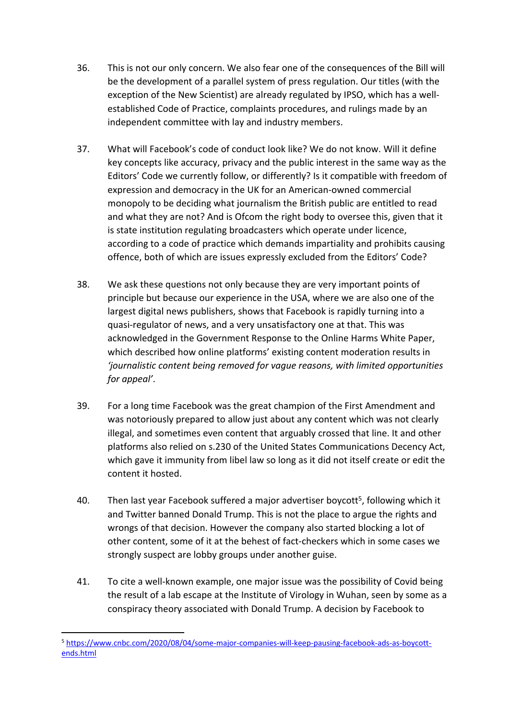- 36. This is not our only concern. We also fear one of the consequences of the Bill will be the development of a parallel system of press regulation. Our titles (with the exception of the New Scientist) are already regulated by IPSO, which has a wellestablished Code of Practice, complaints procedures, and rulings made by an independent committee with lay and industry members.
- 37. What will Facebook's code of conduct look like? We do not know. Will it define key concepts like accuracy, privacy and the public interest in the same way as the Editors' Code we currently follow, or differently? Is it compatible with freedom of expression and democracy in the UK for an American-owned commercial monopoly to be deciding what journalism the British public are entitled to read and what they are not? And is Ofcom the right body to oversee this, given that it is state institution regulating broadcasters which operate under licence, according to a code of practice which demands impartiality and prohibits causing offence, both of which are issues expressly excluded from the Editors' Code?
- 38. We ask these questions not only because they are very important points of principle but because our experience in the USA, where we are also one of the largest digital news publishers, shows that Facebook is rapidly turning into a quasi-regulator of news, and a very unsatisfactory one at that. This was acknowledged in the Government Response to the Online Harms White Paper, which described how online platforms' existing content moderation results in *'journalistic content being removed for vague reasons, with limited opportunities for appeal'*.
- 39. For a long time Facebook was the great champion of the First Amendment and was notoriously prepared to allow just about any content which was not clearly illegal, and sometimes even content that arguably crossed that line. It and other platforms also relied on s.230 of the United States Communications Decency Act, which gave it immunity from libel law so long as it did not itself create or edit the content it hosted.
- 40. Then last year Facebook suffered a major advertiser boycott<sup>5</sup>, following which it and Twitter banned Donald Trump. This is not the place to argue the rights and wrongs of that decision. However the company also started blocking a lot of other content, some of it at the behest of fact-checkers which in some cases we strongly suspect are lobby groups under another guise.
- 41. To cite a well-known example, one major issue was the possibility of Covid being the result of a lab escape at the Institute of Virology in Wuhan, seen by some as a conspiracy theory associated with Donald Trump. A decision by Facebook to

<sup>5</sup> [https://www.cnbc.com/2020/08/04/some-major-companies-will-keep-pausing-facebook-ads-as-boycott](https://www.cnbc.com/2020/08/04/some-major-companies-will-keep-pausing-facebook-ads-as-boycott-ends.html)[ends.html](https://www.cnbc.com/2020/08/04/some-major-companies-will-keep-pausing-facebook-ads-as-boycott-ends.html)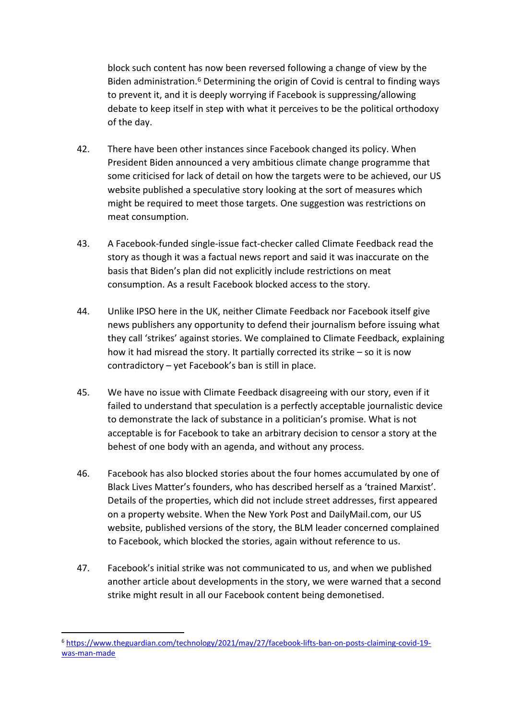block such content has now been reversed following a change of view by the Biden administration.<sup>6</sup> Determining the origin of Covid is central to finding ways to prevent it, and it is deeply worrying if Facebook is suppressing/allowing debate to keep itself in step with what it perceives to be the political orthodoxy of the day.

- 42. There have been other instances since Facebook changed its policy. When President Biden announced a very ambitious climate change programme that some criticised for lack of detail on how the targets were to be achieved, our US website published a speculative story looking at the sort of measures which might be required to meet those targets. One suggestion was restrictions on meat consumption.
- 43. A Facebook-funded single-issue fact-checker called Climate Feedback read the story as though it was a factual news report and said it was inaccurate on the basis that Biden's plan did not explicitly include restrictions on meat consumption. As a result Facebook blocked access to the story.
- 44. Unlike IPSO here in the UK, neither Climate Feedback nor Facebook itself give news publishers any opportunity to defend their journalism before issuing what they call 'strikes' against stories. We complained to Climate Feedback, explaining how it had misread the story. It partially corrected its strike – so it is now contradictory – yet Facebook's ban is still in place.
- 45. We have no issue with Climate Feedback disagreeing with our story, even if it failed to understand that speculation is a perfectly acceptable journalistic device to demonstrate the lack of substance in a politician's promise. What is not acceptable is for Facebook to take an arbitrary decision to censor a story at the behest of one body with an agenda, and without any process.
- 46. Facebook has also blocked stories about the four homes accumulated by one of Black Lives Matter's founders, who has described herself as a 'trained Marxist'. Details of the properties, which did not include street addresses, first appeared on a property website. When the New York Post and DailyMail.com, our US website, published versions of the story, the BLM leader concerned complained to Facebook, which blocked the stories, again without reference to us.
- 47. Facebook's initial strike was not communicated to us, and when we published another article about developments in the story, we were warned that a second strike might result in all our Facebook content being demonetised.

<sup>6</sup> [https://www.theguardian.com/technology/2021/may/27/facebook-lifts-ban-on-posts-claiming-covid-19](https://www.theguardian.com/technology/2021/may/27/facebook-lifts-ban-on-posts-claiming-covid-19-was-man-made) [was-man-made](https://www.theguardian.com/technology/2021/may/27/facebook-lifts-ban-on-posts-claiming-covid-19-was-man-made)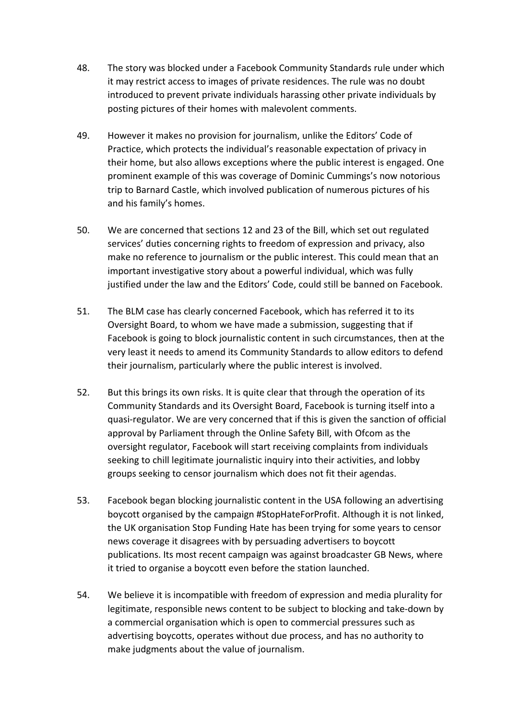- 48. The story was blocked under a Facebook Community Standards rule under which it may restrict access to images of private residences. The rule was no doubt introduced to prevent private individuals harassing other private individuals by posting pictures of their homes with malevolent comments.
- 49. However it makes no provision for journalism, unlike the Editors' Code of Practice, which protects the individual's reasonable expectation of privacy in their home, but also allows exceptions where the public interest is engaged. One prominent example of this was coverage of Dominic Cummings's now notorious trip to Barnard Castle, which involved publication of numerous pictures of his and his family's homes.
- 50. We are concerned that sections 12 and 23 of the Bill, which set out regulated services' duties concerning rights to freedom of expression and privacy, also make no reference to journalism or the public interest. This could mean that an important investigative story about a powerful individual, which was fully justified under the law and the Editors' Code, could still be banned on Facebook.
- 51. The BLM case has clearly concerned Facebook, which has referred it to its Oversight Board, to whom we have made a submission, suggesting that if Facebook is going to block journalistic content in such circumstances, then at the very least it needs to amend its Community Standards to allow editors to defend their journalism, particularly where the public interest is involved.
- 52. But this brings its own risks. It is quite clear that through the operation of its Community Standards and its Oversight Board, Facebook is turning itself into a quasi-regulator. We are very concerned that if this is given the sanction of official approval by Parliament through the Online Safety Bill, with Ofcom as the oversight regulator, Facebook will start receiving complaints from individuals seeking to chill legitimate journalistic inquiry into their activities, and lobby groups seeking to censor journalism which does not fit their agendas.
- 53. Facebook began blocking journalistic content in the USA following an advertising boycott organised by the campaign #StopHateForProfit. Although it is not linked, the UK organisation Stop Funding Hate has been trying for some years to censor news coverage it disagrees with by persuading advertisers to boycott publications. Its most recent campaign was against broadcaster GB News, where it tried to organise a boycott even before the station launched.
- 54. We believe it is incompatible with freedom of expression and media plurality for legitimate, responsible news content to be subject to blocking and take-down by a commercial organisation which is open to commercial pressures such as advertising boycotts, operates without due process, and has no authority to make judgments about the value of journalism.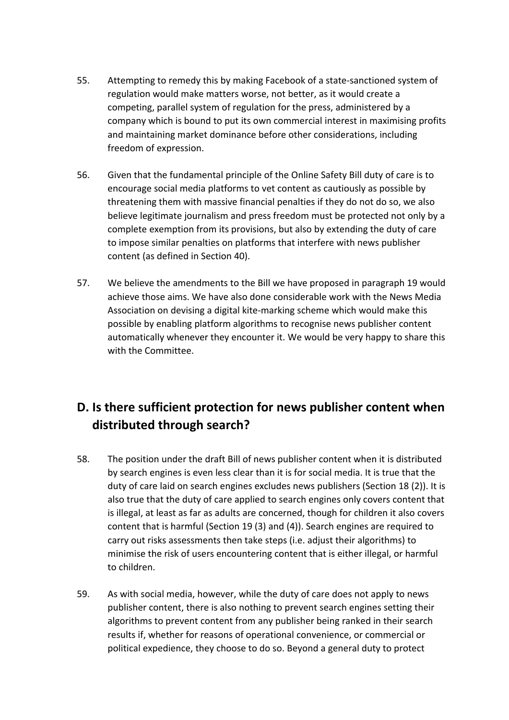- 55. Attempting to remedy this by making Facebook of a state-sanctioned system of regulation would make matters worse, not better, as it would create a competing, parallel system of regulation for the press, administered by a company which is bound to put its own commercial interest in maximising profits and maintaining market dominance before other considerations, including freedom of expression.
- 56. Given that the fundamental principle of the Online Safety Bill duty of care is to encourage social media platforms to vet content as cautiously as possible by threatening them with massive financial penalties if they do not do so, we also believe legitimate journalism and press freedom must be protected not only by a complete exemption from its provisions, but also by extending the duty of care to impose similar penalties on platforms that interfere with news publisher content (as defined in Section 40).
- 57. We believe the amendments to the Bill we have proposed in paragraph 19 would achieve those aims. We have also done considerable work with the News Media Association on devising a digital kite-marking scheme which would make this possible by enabling platform algorithms to recognise news publisher content automatically whenever they encounter it. We would be very happy to share this with the Committee.

### **D. Is there sufficient protection for news publisher content when distributed through search?**

- 58. The position under the draft Bill of news publisher content when it is distributed by search engines is even less clear than it is for social media. It is true that the duty of care laid on search engines excludes news publishers (Section 18 (2)). It is also true that the duty of care applied to search engines only covers content that is illegal, at least as far as adults are concerned, though for children it also covers content that is harmful (Section 19 (3) and (4)). Search engines are required to carry out risks assessments then take steps (i.e. adjust their algorithms) to minimise the risk of users encountering content that is either illegal, or harmful to children.
- 59. As with social media, however, while the duty of care does not apply to news publisher content, there is also nothing to prevent search engines setting their algorithms to prevent content from any publisher being ranked in their search results if, whether for reasons of operational convenience, or commercial or political expedience, they choose to do so. Beyond a general duty to protect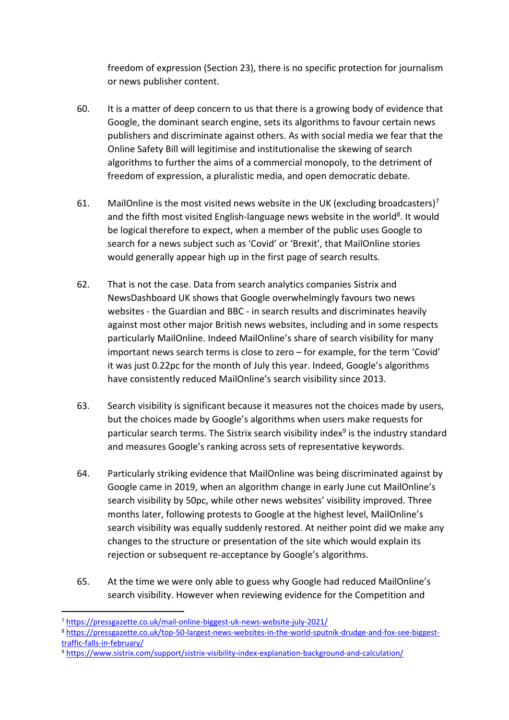freedom of expression (Section 23), there is no specific protection for journalism or news publisher content.

- 60. It is a matter of deep concern to us that there is a growing body of evidence that Google, the dominant search engine, sets its algorithms to favour certain news publishers and discriminate against others. As with social media we fear that the Online Safety Bill will legitimise and institutionalise the skewing of search algorithms to further the aims of a commercial monopoly, to the detriment of freedom of expression, a pluralistic media, and open democratic debate.
- 61. MailOnline is the most visited news website in the UK (excluding broadcasters)<sup>7</sup> and the fifth most visited English-language news website in the world<sup>8</sup>. It would be logical therefore to expect, when a member of the public uses Google to search for a news subject such as 'Covid' or 'Brexit', that MailOnline stories would generally appear high up in the first page of search results.
- 62. That is not the case. Data from search analytics companies Sistrix and NewsDashboard UK shows that Google overwhelmingly favours two news websites - the Guardian and BBC - in search results and discriminates heavily against most other major British news websites, including and in some respects particularly MailOnline. Indeed MailOnline's share of search visibility for many important news search terms is close to zero – for example, for the term 'Covid' it was just 0.22pc for the month of July this year. Indeed, Google's algorithms have consistently reduced MailOnline's search visibility since 2013.
- 63. Search visibility is significant because it measures not the choices made by users, but the choices made by Google's algorithms when users make requests for particular search terms. The Sistrix search visibility index<sup>9</sup> is the industry standard and measures Google's ranking across sets of representative keywords.
- 64. Particularly striking evidence that MailOnline was being discriminated against by Google came in 2019, when an algorithm change in early June cut MailOnline's search visibility by 50pc, while other news websites' visibility improved. Three months later, following protests to Google at the highest level, MailOnline's search visibility was equally suddenly restored. At neither point did we make any changes to the structure or presentation of the site which would explain its rejection or subsequent re-acceptance by Google's algorithms.
- 65. At the time we were only able to guess why Google had reduced MailOnline's search visibility. However when reviewing evidence for the Competition and

<sup>9</sup> <https://www.sistrix.com/support/sistrix-visibility-index-explanation-background-and-calculation/>

<sup>7</sup> <https://pressgazette.co.uk/mail-online-biggest-uk-news-website-july-2021/>

<sup>8</sup> [https://pressgazette.co.uk/top-50-largest-news-websites-in-the-world-sputnik-drudge-and-fox-see-biggest](https://pressgazette.co.uk/top-50-largest-news-websites-in-the-world-sputnik-drudge-and-fox-see-biggest-traffic-falls-in-february/)[traffic-falls-in-february/](https://pressgazette.co.uk/top-50-largest-news-websites-in-the-world-sputnik-drudge-and-fox-see-biggest-traffic-falls-in-february/)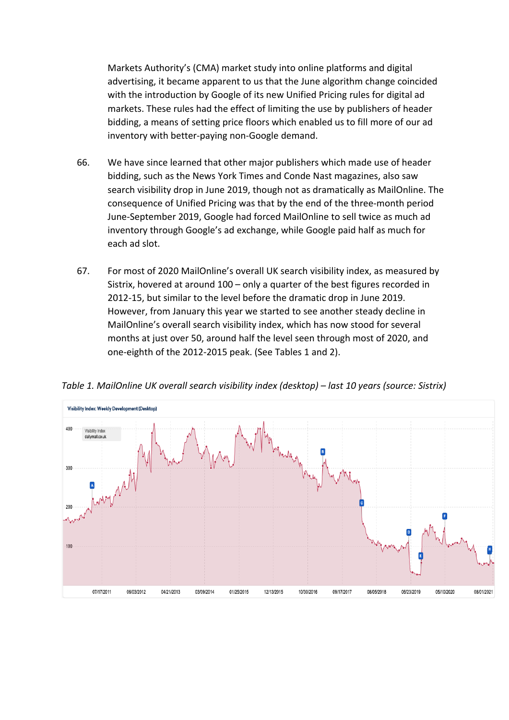Markets Authority's (CMA) market study into online platforms and digital advertising, it became apparent to us that the June algorithm change coincided with the introduction by Google of its new Unified Pricing rules for digital ad markets. These rules had the effect of limiting the use by publishers of header bidding, a means of setting price floors which enabled us to fill more of our ad inventory with better-paying non-Google demand.

- 66. We have since learned that other major publishers which made use of header bidding, such as the News York Times and Conde Nast magazines, also saw search visibility drop in June 2019, though not as dramatically as MailOnline. The consequence of Unified Pricing was that by the end of the three-month period June-September 2019, Google had forced MailOnline to sell twice as much ad inventory through Google's ad exchange, while Google paid half as much for each ad slot.
- 67. For most of 2020 MailOnline's overall UK search visibility index, as measured by Sistrix, hovered at around 100 – only a quarter of the best figures recorded in 2012-15, but similar to the level before the dramatic drop in June 2019. However, from January this year we started to see another steady decline in MailOnline's overall search visibility index, which has now stood for several months at just over 50, around half the level seen through most of 2020, and one-eighth of the 2012-2015 peak. (See Tables 1 and 2).



*Table 1. MailOnline UK overall search visibility index (desktop) – last 10 years (source: Sistrix)*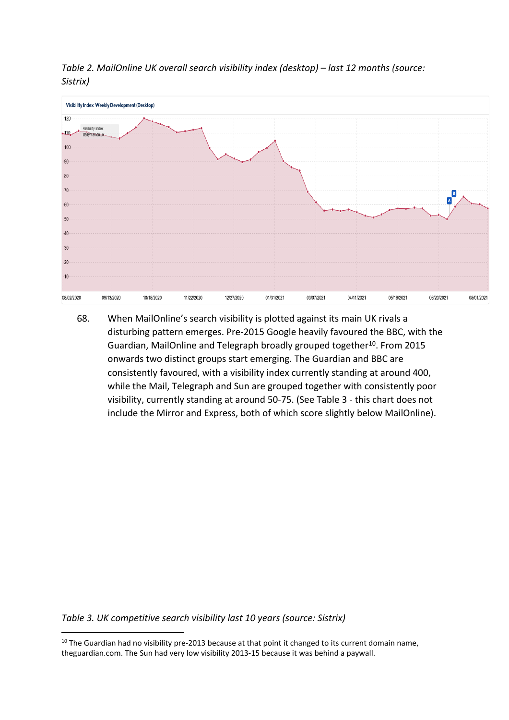

*Table 2. MailOnline UK overall search visibility index (desktop) – last 12 months (source: Sistrix)*

68. When MailOnline's search visibility is plotted against its main UK rivals a disturbing pattern emerges. Pre-2015 Google heavily favoured the BBC, with the Guardian, MailOnline and Telegraph broadly grouped together<sup>10</sup>. From 2015 onwards two distinct groups start emerging. The Guardian and BBC are consistently favoured, with a visibility index currently standing at around 400, while the Mail, Telegraph and Sun are grouped together with consistently poor visibility, currently standing at around 50-75. (See Table 3 - this chart does not include the Mirror and Express, both of which score slightly below MailOnline).

*Table 3. UK competitive search visibility last 10 years (source: Sistrix)*

 $10$  The Guardian had no visibility pre-2013 because at that point it changed to its current domain name, theguardian.com. The Sun had very low visibility 2013-15 because it was behind a paywall.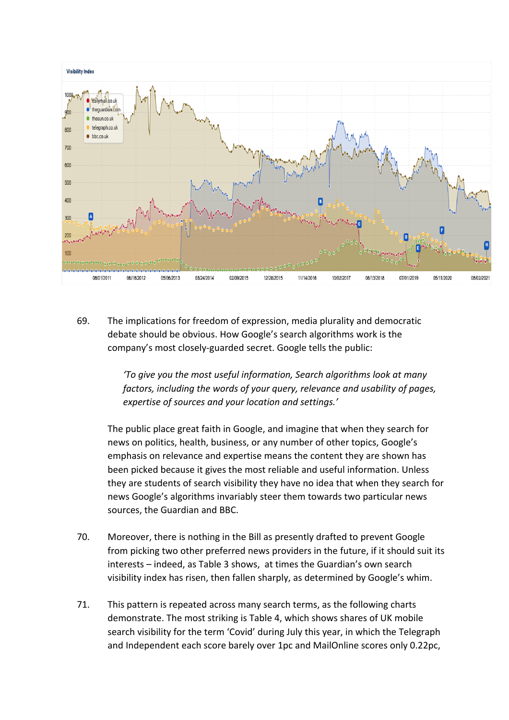

69. The implications for freedom of expression, media plurality and democratic debate should be obvious. How Google's search algorithms work is the company's most closely-guarded secret. Google tells the public:

> *'To give you the most useful information, Search algorithms look at many factors, including the words of your query, relevance and usability of pages, expertise of sources and your location and settings.'*

The public place great faith in Google, and imagine that when they search for news on politics, health, business, or any number of other topics, Google's emphasis on relevance and expertise means the content they are shown has been picked because it gives the most reliable and useful information. Unless they are students of search visibility they have no idea that when they search for news Google's algorithms invariably steer them towards two particular news sources, the Guardian and BBC.

- 70. Moreover, there is nothing in the Bill as presently drafted to prevent Google from picking two other preferred news providers in the future, if it should suit its interests – indeed, as Table 3 shows, at times the Guardian's own search visibility index has risen, then fallen sharply, as determined by Google's whim.
- 71. This pattern is repeated across many search terms, as the following charts demonstrate. The most striking is Table 4, which shows shares of UK mobile search visibility for the term 'Covid' during July this year, in which the Telegraph and Independent each score barely over 1pc and MailOnline scores only 0.22pc,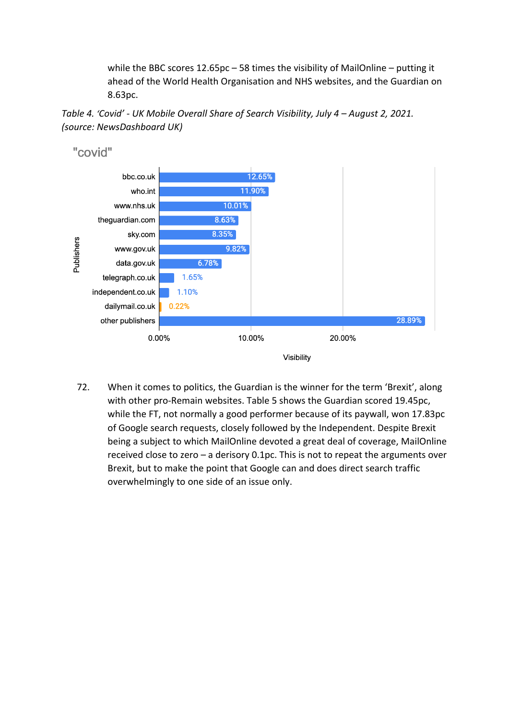while the BBC scores 12.65pc – 58 times the visibility of MailOnline – putting it ahead of the World Health Organisation and NHS websites, and the Guardian on 8.63pc.





72. When it comes to politics, the Guardian is the winner for the term 'Brexit', along with other pro-Remain websites. Table 5 shows the Guardian scored 19.45pc, while the FT, not normally a good performer because of its paywall, won 17.83pc of Google search requests, closely followed by the Independent. Despite Brexit being a subject to which MailOnline devoted a great deal of coverage, MailOnline received close to zero – a derisory 0.1pc. This is not to repeat the arguments over Brexit, but to make the point that Google can and does direct search traffic overwhelmingly to one side of an issue only.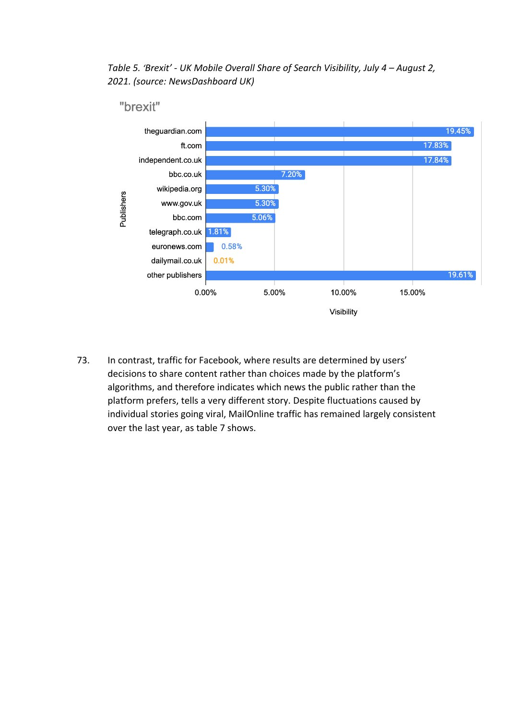*Table 5. 'Brexit' - UK Mobile Overall Share of Search Visibility, July 4 – August 2, 2021. (source: NewsDashboard UK)*



73. In contrast, traffic for Facebook, where results are determined by users' decisions to share content rather than choices made by the platform's algorithms, and therefore indicates which news the public rather than the platform prefers, tells a very different story. Despite fluctuations caused by individual stories going viral, MailOnline traffic has remained largely consistent over the last year, as table 7 shows.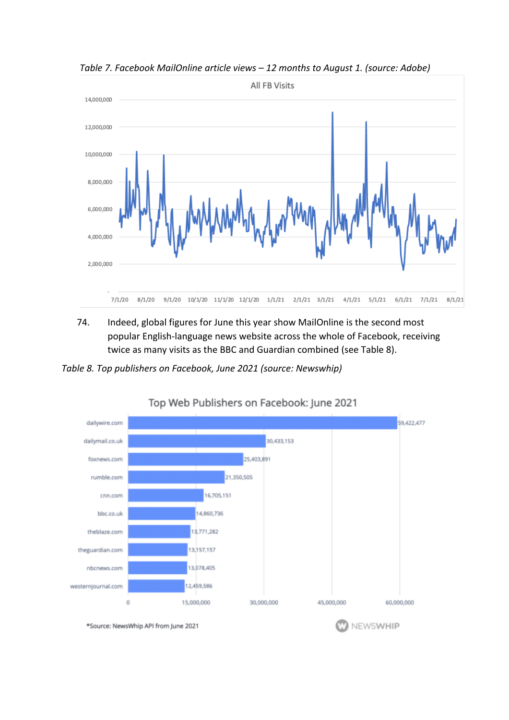

*Table 7. Facebook MailOnline article views – 12 months to August 1. (source: Adobe)*

74. Indeed, global figures for June this year show MailOnline is the second most popular English-language news website across the whole of Facebook, receiving twice as many visits as the BBC and Guardian combined (see Table 8).

*Table 8. Top publishers on Facebook, June 2021 (source: Newswhip)*



#### Top Web Publishers on Facebook: June 2021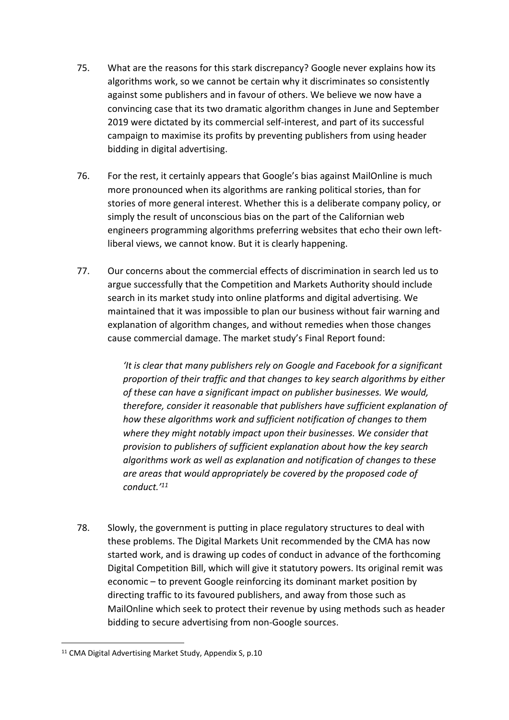- 75. What are the reasons for this stark discrepancy? Google never explains how its algorithms work, so we cannot be certain why it discriminates so consistently against some publishers and in favour of others. We believe we now have a convincing case that its two dramatic algorithm changes in June and September 2019 were dictated by its commercial self-interest, and part of its successful campaign to maximise its profits by preventing publishers from using header bidding in digital advertising.
- 76. For the rest, it certainly appears that Google's bias against MailOnline is much more pronounced when its algorithms are ranking political stories, than for stories of more general interest. Whether this is a deliberate company policy, or simply the result of unconscious bias on the part of the Californian web engineers programming algorithms preferring websites that echo their own leftliberal views, we cannot know. But it is clearly happening.
- 77. Our concerns about the commercial effects of discrimination in search led us to argue successfully that the Competition and Markets Authority should include search in its market study into online platforms and digital advertising. We maintained that it was impossible to plan our business without fair warning and explanation of algorithm changes, and without remedies when those changes cause commercial damage. The market study's Final Report found:

*'It is clear that many publishers rely on Google and Facebook for a significant proportion of their traffic and that changes to key search algorithms by either of these can have a significant impact on publisher businesses. We would, therefore, consider it reasonable that publishers have sufficient explanation of how these algorithms work and sufficient notification of changes to them where they might notably impact upon their businesses. We consider that provision to publishers of sufficient explanation about how the key search algorithms work as well as explanation and notification of changes to these are areas that would appropriately be covered by the proposed code of conduct.'<sup>11</sup>*

78. Slowly, the government is putting in place regulatory structures to deal with these problems. The Digital Markets Unit recommended by the CMA has now started work, and is drawing up codes of conduct in advance of the forthcoming Digital Competition Bill, which will give it statutory powers. Its original remit was economic – to prevent Google reinforcing its dominant market position by directing traffic to its favoured publishers, and away from those such as MailOnline which seek to protect their revenue by using methods such as header bidding to secure advertising from non-Google sources.

<sup>&</sup>lt;sup>11</sup> CMA Digital Advertising Market Study, Appendix S, p.10